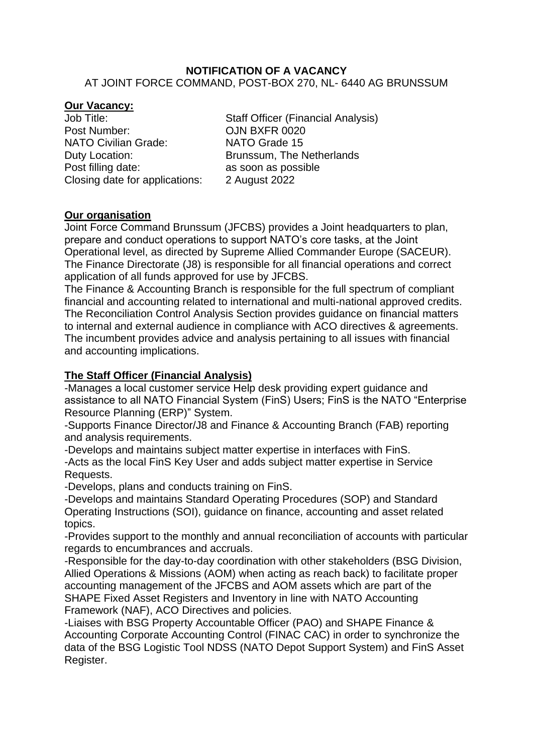#### **NOTIFICATION OF A VACANCY** AT JOINT FORCE COMMAND, POST-BOX 270, NL- 6440 AG BRUNSSUM

### **Our Vacancy:**

Post Number: CJN BXFR 0020 NATO Civilian Grade: NATO Grade 15 Duty Location: Brunssum, The Netherlands Post filling date: as soon as possible Closing date for applications: 2 August 2022

Job Title: Staff Officer (Financial Analysis)

# **Our organisation**

Joint Force Command Brunssum (JFCBS) provides a Joint headquarters to plan, prepare and conduct operations to support NATO's core tasks, at the Joint Operational level, as directed by Supreme Allied Commander Europe (SACEUR). The Finance Directorate (J8) is responsible for all financial operations and correct application of all funds approved for use by JFCBS.

The Finance & Accounting Branch is responsible for the full spectrum of compliant financial and accounting related to international and multi-national approved credits. The Reconciliation Control Analysis Section provides guidance on financial matters to internal and external audience in compliance with ACO directives & agreements. The incumbent provides advice and analysis pertaining to all issues with financial and accounting implications.

## **The Staff Officer (Financial Analysis)**

-Manages a local customer service Help desk providing expert guidance and assistance to all NATO Financial System (FinS) Users; FinS is the NATO "Enterprise Resource Planning (ERP)" System.

-Supports Finance Director/J8 and Finance & Accounting Branch (FAB) reporting and analysis requirements.

-Develops and maintains subject matter expertise in interfaces with FinS. -Acts as the local FinS Key User and adds subject matter expertise in Service Requests.

-Develops, plans and conducts training on FinS.

-Develops and maintains Standard Operating Procedures (SOP) and Standard Operating Instructions (SOI), guidance on finance, accounting and asset related topics.

-Provides support to the monthly and annual reconciliation of accounts with particular regards to encumbrances and accruals.

-Responsible for the day-to-day coordination with other stakeholders (BSG Division, Allied Operations & Missions (AOM) when acting as reach back) to facilitate proper accounting management of the JFCBS and AOM assets which are part of the SHAPE Fixed Asset Registers and Inventory in line with NATO Accounting Framework (NAF), ACO Directives and policies.

-Liaises with BSG Property Accountable Officer (PAO) and SHAPE Finance & Accounting Corporate Accounting Control (FINAC CAC) in order to synchronize the data of the BSG Logistic Tool NDSS (NATO Depot Support System) and FinS Asset Register.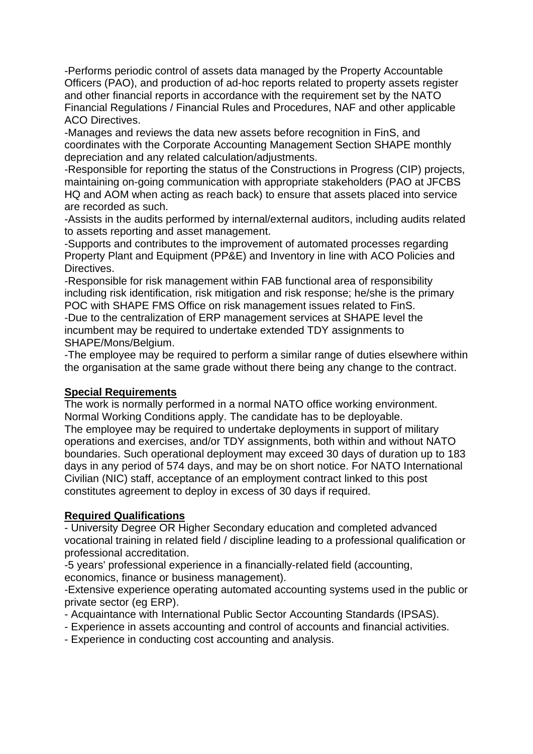-Performs periodic control of assets data managed by the Property Accountable Officers (PAO), and production of ad-hoc reports related to property assets register and other financial reports in accordance with the requirement set by the NATO Financial Regulations / Financial Rules and Procedures, NAF and other applicable ACO Directives.

-Manages and reviews the data new assets before recognition in FinS, and coordinates with the Corporate Accounting Management Section SHAPE monthly depreciation and any related calculation/adjustments.

-Responsible for reporting the status of the Constructions in Progress (CIP) projects, maintaining on-going communication with appropriate stakeholders (PAO at JFCBS HQ and AOM when acting as reach back) to ensure that assets placed into service are recorded as such.

-Assists in the audits performed by internal/external auditors, including audits related to assets reporting and asset management.

-Supports and contributes to the improvement of automated processes regarding Property Plant and Equipment (PP&E) and Inventory in line with ACO Policies and Directives.

-Responsible for risk management within FAB functional area of responsibility including risk identification, risk mitigation and risk response; he/she is the primary POC with SHAPE FMS Office on risk management issues related to FinS.

-Due to the centralization of ERP management services at SHAPE level the incumbent may be required to undertake extended TDY assignments to SHAPE/Mons/Belgium.

-The employee may be required to perform a similar range of duties elsewhere within the organisation at the same grade without there being any change to the contract.

### **Special Requirements**

The work is normally performed in a normal NATO office working environment. Normal Working Conditions apply. The candidate has to be deployable. The employee may be required to undertake deployments in support of military operations and exercises, and/or TDY assignments, both within and without NATO boundaries. Such operational deployment may exceed 30 days of duration up to 183 days in any period of 574 days, and may be on short notice. For NATO International Civilian (NIC) staff, acceptance of an employment contract linked to this post constitutes agreement to deploy in excess of 30 days if required.

# **Required Qualifications**

- University Degree OR Higher Secondary education and completed advanced vocational training in related field / discipline leading to a professional qualification or professional accreditation.

-5 years' professional experience in a financially-related field (accounting, economics, finance or business management).

-Extensive experience operating automated accounting systems used in the public or private sector (eg ERP).

- Acquaintance with International Public Sector Accounting Standards (IPSAS).
- Experience in assets accounting and control of accounts and financial activities.
- Experience in conducting cost accounting and analysis.